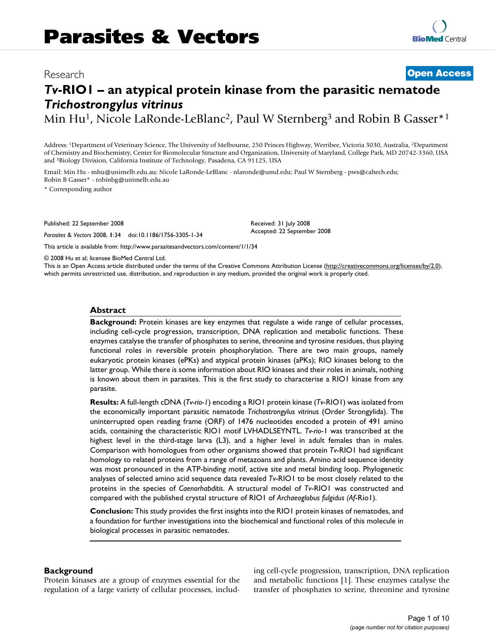# Research **Open Access**

# *Tv***-RIO1 – an atypical protein kinase from the parasitic nematode**  *Trichostrongylus vitrinus*

Min Hu<sup>1</sup>, Nicole LaRonde-LeBlanc<sup>2</sup>, Paul W Sternberg<sup>3</sup> and Robin B Gasser<sup>\*1</sup>

Address: 1Department of Veterinary Science, The University of Melbourne, 250 Princes Highway, Werribee, Victoria 3030, Australia, 2Department of Chemistry and Biochemistry, Center for Biomolecular Structure and Organization, University of Maryland, College Park, MD 20742-3360, USA and 3Biology Division, California Institute of Technology, Pasadena, CA 91125, USA

Email: Min Hu - mhu@unimelb.edu.au; Nicole LaRonde-LeBlanc - nlaronde@umd.edu; Paul W Sternberg - pws@caltech.edu; Robin B Gasser\* - robinbg@unimelb.edu.au

\* Corresponding author

Published: 22 September 2008

*Parasites & Vectors* 2008, **1**:34 doi:10.1186/1756-3305-1-34

This article is available from: http://www.parasitesandvectors.com/content/1/1/34

© 2008 Hu et al; licensee BioMed Central Ltd.

This is an Open Access article distributed under the terms of the Creative Commons Attribution License (http://creativecommons.org/licenses/by/2.0), which permits unrestricted use, distribution, and reproduction in any medium, provided the original work is properly cited.

Received: 31 July 2008 Accepted: 22 September 2008

#### **Abstract**

**Background:** Protein kinases are key enzymes that regulate a wide range of cellular processes, including cell-cycle progression, transcription, DNA replication and metabolic functions. These enzymes catalyse the transfer of phosphates to serine, threonine and tyrosine residues, thus playing functional roles in reversible protein phosphorylation. There are two main groups, namely eukaryotic protein kinases (ePKs) and atypical protein kinases (aPKs); RIO kinases belong to the latter group. While there is some information about RIO kinases and their roles in animals, nothing is known about them in parasites. This is the first study to characterise a RIO1 kinase from any parasite.

**Results:** A full-length cDNA (*Tv-rio-1*) encoding a RIO1 protein kinase (*Tv*-RIO1) was isolated from the economically important parasitic nematode *Trichostrongylus vitrinus* (Order Strongylida). The uninterrupted open reading frame (ORF) of 1476 nucleotides encoded a protein of 491 amino acids, containing the characteristic RIO1 motif LVHADLSEYNTL. *Tv-rio*-1 was transcribed at the highest level in the third-stage larva (L3), and a higher level in adult females than in males. Comparison with homologues from other organisms showed that protein *Tv*-RIO1 had significant homology to related proteins from a range of metazoans and plants. Amino acid sequence identity was most pronounced in the ATP-binding motif, active site and metal binding loop. Phylogenetic analyses of selected amino acid sequence data revealed *Tv*-RIO1 to be most closely related to the proteins in the species of *Caenorhabditis*. A structural model of *Tv*-RIO1 was constructed and compared with the published crystal structure of RIO1 of *Archaeoglobus fulgidus (Af*-Rio1).

**Conclusion:** This study provides the first insights into the RIO1 protein kinases of nematodes, and a foundation for further investigations into the biochemical and functional roles of this molecule in biological processes in parasitic nematodes.

#### **Background**

Protein kinases are a group of enzymes essential for the regulation of a large variety of cellular processes, including cell-cycle progression, transcription, DNA replication and metabolic functions [1]. These enzymes catalyse the transfer of phosphates to serine, threonine and tyrosine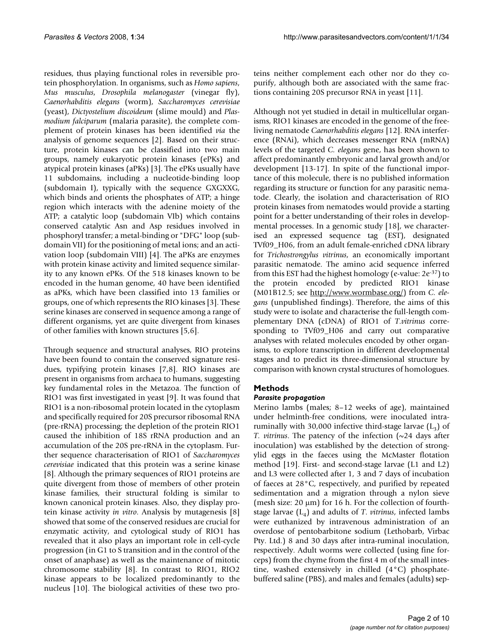residues, thus playing functional roles in reversible protein phosphorylation. In organisms, such as *Homo sapiens*, *Mus musculus*, *Drosophila melanogaster* (vinegar fly), *Caenorhabditis elegans* (worm), *Saccharomyces cerevisiae* (yeast), *Dictyostelium discoideum* (slime mould) and *Plasmodium falciparum* (malaria parasite), the complete complement of protein kinases has been identified *via* the analysis of genome sequences [2]. Based on their structure, protein kinases can be classified into two main groups, namely eukaryotic protein kinases (ePKs) and atypical protein kinases (aPKs) [3]. The ePKs usually have 11 subdomains, including a nucleotide-binding loop (subdomain I), typically with the sequence GXGXXG, which binds and orients the phosphates of ATP; a hinge region which interacts with the adenine moiety of the ATP; a catalytic loop (subdomain VIb) which contains conserved catalytic Asn and Asp residues involved in phosphoryl transfer; a metal-binding or "DFG" loop (subdomain VII) for the positioning of metal ions; and an activation loop (subdomain VIII) [4]. The aPKs are enzymes with protein kinase activity and limited sequence similarity to any known ePKs. Of the 518 kinases known to be encoded in the human genome, 40 have been identified as aPKs, which have been classified into 13 families or groups, one of which represents the RIO kinases [3]. These serine kinases are conserved in sequence among a range of different organisms, yet are quite divergent from kinases of other families with known structures [5,6].

Through sequence and structural analyses, RIO proteins have been found to contain the conserved signature residues, typifying protein kinases [7,8]. RIO kinases are present in organisms from archaea to humans, suggesting key fundamental roles in the Metazoa. The function of RIO1 was first investigated in yeast [9]. It was found that RIO1 is a non-ribosomal protein located in the cytoplasm and specifically required for 20S precursor ribosomal RNA (pre-rRNA) processing; the depletion of the protein RIO1 caused the inhibition of 18S rRNA production and an accumulation of the 20S pre-rRNA in the cytoplasm. Further sequence characterisation of RIO1 of *Saccharomyces cerevisiae* indicated that this protein was a serine kinase [8]. Although the primary sequences of RIO1 proteins are quite divergent from those of members of other protein kinase families, their structural folding is similar to known canonical protein kinases. Also, they display protein kinase activity *in vitro*. Analysis by mutagenesis [8] showed that some of the conserved residues are crucial for enzymatic activity, and cytological study of RIO1 has revealed that it also plays an important role in cell-cycle progression (in G1 to S transition and in the control of the onset of anaphase) as well as the maintenance of mitotic chromosome stability [8]. In contrast to RIO1, RIO2 kinase appears to be localized predominantly to the nucleus [10]. The biological activities of these two proteins neither complement each other nor do they copurify, although both are associated with the same fractions containing 20S precursor RNA in yeast [11].

Although not yet studied in detail in multicellular organisms, RIO1 kinases are encoded in the genome of the freeliving nematode *Caenorhabditis elegans* [12]. RNA interference (RNAi), which decreases messenger RNA (mRNA) levels of the targeted *C. elegans* gene, has been shown to affect predominantly embryonic and larval growth and/or development [13-17]. In spite of the functional importance of this molecule, there is no published information regarding its structure or function for any parasitic nematode. Clearly, the isolation and characterisation of RIO protein kinases from nematodes would provide a starting point for a better understanding of their roles in developmental processes. In a genomic study [18], we characterised an expressed sequence tag (EST), designated TVf09\_H06, from an adult female-enriched cDNA library for *Trichostrongylus vitrinus*, an economically important parasitic nematode. The amino acid sequence inferred from this EST had the highest homology (e-value: 2e-37) to the protein encoded by predicted RIO1 kinase (M01B12.5; see http://www.wormbase.org/) from *C. elegans* (unpublished findings). Therefore, the aims of this study were to isolate and characterise the full-length complementary DNA (cDNA) of RIO1 of *T*.*vitrinus* corresponding to TVf09\_H06 and carry out comparative analyses with related molecules encoded by other organisms, to explore transcription in different developmental stages and to predict its three-dimensional structure by comparison with known crystal structures of homologues.

# **Methods**

# *Parasite propagation*

Merino lambs (males; 8–12 weeks of age), maintained under helminth-free conditions, were inoculated intraruminally with 30,000 infective third-stage larvae  $(L_3)$  of *T. vitrinus*. The patency of the infection (~24 days after inoculation) was established by the detection of strongylid eggs in the faeces using the McMaster flotation method [19]. First- and second-stage larvae (L1 and L2) and L3 were collected after 1, 3 and 7 days of incubation of faeces at 28°C, respectively, and purified by repeated sedimentation and a migration through a nylon sieve (mesh size:  $20 \mu m$ ) for 16 h. For the collection of fourthstage larvae  $(L_4)$  and adults of *T. vitrinus*, infected lambs were euthanized by intravenous administration of an overdose of pentobarbitone sodium (Lethobarb, Virbac Pty. Ltd.) 8 and 30 days after intra-ruminal inoculation, respectively. Adult worms were collected (using fine forceps) from the chyme from the first 4 m of the small intestine, washed extensively in chilled (4°C) phosphatebuffered saline (PBS), and males and females (adults) sep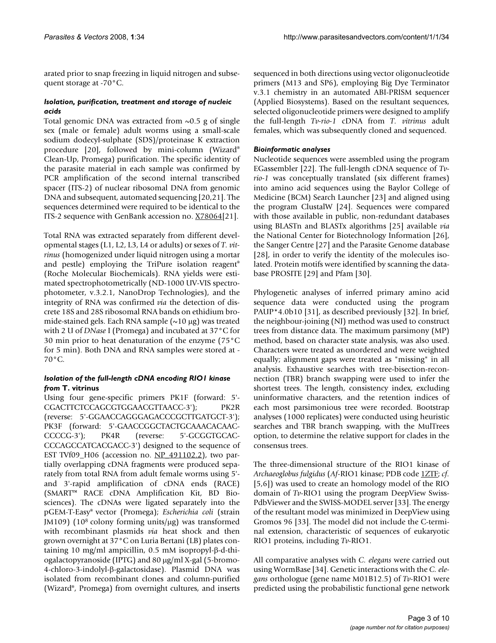arated prior to snap freezing in liquid nitrogen and subsequent storage at -70°C.

# *Isolation, purification, treatment and storage of nucleic acids*

Total genomic DNA was extracted from  $\sim 0.5$  g of single sex (male or female) adult worms using a small-scale sodium dodecyl-sulphate (SDS)/proteinase K extraction procedure [20], followed by mini-column (Wizard® Clean-Up, Promega) purification. The specific identity of the parasite material in each sample was confirmed by PCR amplification of the second internal transcribed spacer (ITS-2) of nuclear ribosomal DNA from genomic DNA and subsequent, automated sequencing [20,21]. The sequences determined were required to be identical to the ITS-2 sequence with GenBank accession no. X78064[21].

Total RNA was extracted separately from different developmental stages (L1, L2, L3, L4 or adults) or sexes of *T. vitrinus* (homogenized under liquid nitrogen using a mortar and pestle) employing the TriPure isolation reagent® (Roche Molecular Biochemicals). RNA yields were estimated spectrophotometrically (ND-1000 UV-VIS spectrophotometer, v.3.2.1, NanoDrop Technologies), and the integrity of RNA was confirmed *via* the detection of discrete 18S and 28S ribosomal RNA bands on ethidium bromide-stained gels. Each RNA sample  $(\sim 10 \,\mu g)$  was treated with 2 U of *DNase* I (Promega) and incubated at 37°C for 30 min prior to heat denaturation of the enzyme (75°C for 5 min). Both DNA and RNA samples were stored at - 70°C.

# *Isolation of the full-length cDNA encoding RIO1 kinase from* **T. vitrinus**

Using four gene-specific primers PK1F (forward: 5'- CGACTTCTCCAGCGTGGAACGTTAACC-3'); PK2R (reverse: 5'-GGAACCAGGGAGACCCGCTTGATGCT-3'); PK3F (forward: 5'-GAACCGGCTACTGCAAACACAAC-CCCCG-3'); PK4R (reverse: 5'-GCGGTGCAC-CCCAGCCATCACGACC-3') designed to the sequence of EST TVf09\_H06 (accession no. NP\_491102.2), two partially overlapping cDNA fragments were produced separately from total RNA from adult female worms using 5' and 3'-rapid amplification of cDNA ends (RACE) (SMART™ RACE cDNA Amplification Kit, BD Biosciences). The cDNAs were ligated separately into the pGEM-T-Easy® vector (Promega); *Escherichia coli* (strain JM109) (108 colony forming units/ $\mu$ g) was transformed with recombinant plasmids *via* heat shock and then grown overnight at 37°C on Luria Bertani (LB) plates containing 10 mg/ml ampicillin,  $0.5$  mM isopropyl- $\beta$ -d-thiogalactopyranoside (IPTG) and 80  $\mu$ g/ml X-gal (5-bromo- $4$ -chloro-3-indolyl- $\beta$ -galactosidase). Plasmid DNA was isolated from recombinant clones and column-purified (Wizard®, Promega) from overnight cultures, and inserts

sequenced in both directions using vector oligonucleotide primers (M13 and SP6), employing Big Dye Terminator v.3.1 chemistry in an automated ABI-PRISM sequencer (Applied Biosystems). Based on the resultant sequences, selected oligonucleotide primers were designed to amplify the full-length *Tv-rio-1* cDNA from *T. vitrinus* adult females, which was subsequently cloned and sequenced.

# *Bioinformatic analyses*

Nucleotide sequences were assembled using the program EGassembler [22]. The full-length cDNA sequence of *Tvrio-1* was conceptually translated (six different frames) into amino acid sequences using the Baylor College of Medicine (BCM) Search Launcher [23] and aligned using the program ClustalW [24]. Sequences were compared with those available in public, non-redundant databases using BLASTn and BLASTx algorithms [25] available *via* the National Center for Biotechnology Information [26], the Sanger Centre [27] and the Parasite Genome database [28], in order to verify the identity of the molecules isolated. Protein motifs were identified by scanning the database PROSITE [29] and Pfam [30].

Phylogenetic analyses of inferred primary amino acid sequence data were conducted using the program PAUP\*4.0b10 [31], as described previously [32]. In brief, the neighbour-joining (NJ) method was used to construct trees from distance data. The maximum parsimony (MP) method, based on character state analysis, was also used. Characters were treated as unordered and were weighted equally; alignment gaps were treated as "missing" in all analysis. Exhaustive searches with tree-bisection-reconnection (TBR) branch swapping were used to infer the shortest trees. The length, consistency index, excluding uninformative characters, and the retention indices of each most parsimonious tree were recorded. Bootstrap analyses (1000 replicates) were conducted using heuristic searches and TBR branch swapping, with the MulTrees option, to determine the relative support for clades in the consensus trees.

The three-dimensional structure of the RIO1 kinase of *Archaeoglobus fulgidus* (*Af*-RIO1 kinase; PDB code 1ZTF; *cf.* [5,6]) was used to create an homology model of the RIO domain of *Tv*-RIO1 using the program DeepView Swiss-PdbViewer and the SWISS-MODEL server [33]. The energy of the resultant model was minimized in DeepView using Gromos 96 [33]. The model did not include the C-terminal extension, characteristic of sequences of eukaryotic RIO1 proteins, including *Tv*-RIO1.

All comparative analyses with *C. elegans* were carried out using WormBase [34]. Genetic interactions with the *C. elegans* orthologue (gene name M01B12.5) of *Tv*-RIO1 were predicted using the probabilistic functional gene network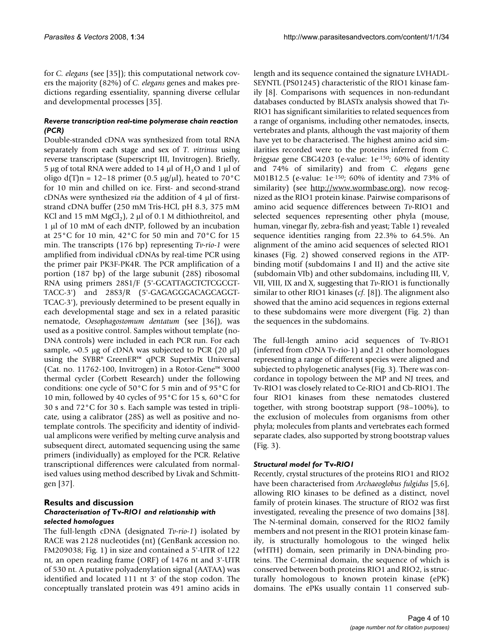for *C. elegans* (see [35]); this computational network covers the majority (82%) of *C. elegans* genes and makes predictions regarding essentiality, spanning diverse cellular and developmental processes [35].

# *Reverse transcription real-time polymerase chain reaction (PCR)*

Double-stranded cDNA was synthesized from total RNA separately from each stage and sex of *T. vitrinus* using reverse transcriptase (Superscript III, Invitrogen). Briefly, 5 µg of total RNA were added to 14 µl of  $H<sub>2</sub>O$  and 1 µl of oligo d(T)n = 12-18 primer (0.5  $\mu$ g/ $\mu$ l), heated to 70°C for 10 min and chilled on ice. First- and second-strand cDNAs were synthesized *via* the addition of 4 µl of firststrand cDNA buffer (250 mM Tris-HCl, pH 8.3, 375 mM KCl and 15 mM MgCl<sub>2</sub>), 2 µl of 0.1 M dithiothreitol, and 1  $\mu$ l of 10 mM of each dNTP, followed by an incubation at 25°C for 10 min, 42°C for 50 min and 70°C for 15 min. The transcripts (176 bp) representing *Tv-rio-1* were amplified from individual cDNAs by real-time PCR using the primer pair PK3F-PK4R. The PCR amplification of a portion (187 bp) of the large subunit (28S) ribosomal RNA using primers 28S1/F (5'-GCATTAGCTCTCGCGT-TACC-3') and 28S3/R (5'-GAGAGGGACAGCAGGT-TCAC-3'), previously determined to be present equally in each developmental stage and sex in a related parasitic nematode, *Oesophagostomum dentatum* (see [36]), was used as a positive control. Samples without template (no-DNA controls) were included in each PCR run. For each sample,  $\sim 0.5$  µg of cDNA was subjected to PCR (20 µl) using the SYBR® GreenER™ qPCR SuperMix Universal (Cat. no. 11762-100, Invitrogen) in a Rotor-Gene™ 3000 thermal cycler (Corbett Research) under the following conditions: one cycle of 50°C for 5 min and of 95°C for 10 min, followed by 40 cycles of 95°C for 15 s, 60°C for 30 s and 72°C for 30 s. Each sample was tested in triplicate, using a calibrator (28S) as well as positive and notemplate controls. The specificity and identity of individual amplicons were verified by melting curve analysis and subsequent direct, automated sequencing using the same primers (individually) as employed for the PCR. Relative transcriptional differences were calculated from normalised values using method described by Livak and Schmittgen [37].

## **Results and discussion** *Characterisation of* **Tv***-RIO1 and relationship with selected homologues*

The full-length cDNA (designated *Tv-rio-1*) isolated by RACE was 2128 nucleotides (nt) (GenBank accession no. FM209038; Fig. 1) in size and contained a 5'-UTR of 122 nt, an open reading frame (ORF) of 1476 nt and 3'-UTR of 530 nt. A putative polyadenylation signal (AATAA) was identified and located 111 nt 3' of the stop codon. The conceptually translated protein was 491 amino acids in

length and its sequence contained the signature LVHADL-SEYNTL (PS01245) characteristic of the RIO1 kinase family [8]. Comparisons with sequences in non-redundant databases conducted by BLASTx analysis showed that *Tv*-RIO1 has significant similarities to related sequences from a range of organisms, including other nematodes, insects, vertebrates and plants, although the vast majority of them have yet to be characterised. The highest amino acid similarities recorded were to the proteins inferred from *C. briggsae* gene CBG4203 (e-value: 1e-150; 60% of identity and 74% of similarity) and from *C. elegans* gene M01B12.5 (e-value: 1e-150; 60% of identity and 73% of similarity) (see <u>http://www.wormbase.org</u>), now recognized as the RIO1 protein kinase. Pairwise comparisons of amino acid sequence differences between *Tv*-RIO1 and selected sequences representing other phyla (mouse, human, vinegar fly, zebra-fish and yeast; Table 1) revealed sequence identities ranging from 22.3% to 64.5%. An alignment of the amino acid sequences of selected RIO1 kinases (Fig. 2) showed conserved regions in the ATPbinding motif (subdomains I and II) and the active site (subdomain VIb) and other subdomains, including III, V, VII, VIII, IX and X, suggesting that *Tv*-RIO1 is functionally similar to other RIO1 kinases (*cf.* [8]). The alignment also showed that the amino acid sequences in regions external to these subdomains were more divergent (Fig. 2) than the sequences in the subdomains.

The full-length amino acid sequences of Tv-RIO1 (inferred from cDNA Tv-rio-1) and 21 other homologues representing a range of different species were aligned and subjected to phylogenetic analyses (Fig. 3). There was concordance in topology between the MP and NJ trees, and Tv-RIO1 was closely related to Ce-RIO1 and Cb-RIO1. The four RIO1 kinases from these nematodes clustered together, with strong bootstrap support (98–100%), to the exclusion of molecules from organisms from other phyla; molecules from plants and vertebrates each formed separate clades, also supported by strong bootstrap values (Fig. 3).

# *Structural model for* **Tv***-RIO1*

Recently, crystal structures of the proteins RIO1 and RIO2 have been characterised from *Archaeoglobus fulgidus* [5,6], allowing RIO kinases to be defined as a distinct, novel family of protein kinases. The structure of RIO2 was first investigated, revealing the presence of two domains [38]. The N-terminal domain, conserved for the RIO2 family members and not present in the RIO1 protein kinase family, is structurally homologous to the winged helix (wHTH) domain, seen primarily in DNA-binding proteins. The C-terminal domain, the sequence of which is conserved between both proteins RIO1 and RIO2, is structurally homologous to known protein kinase (ePK) domains. The ePKs usually contain 11 conserved sub-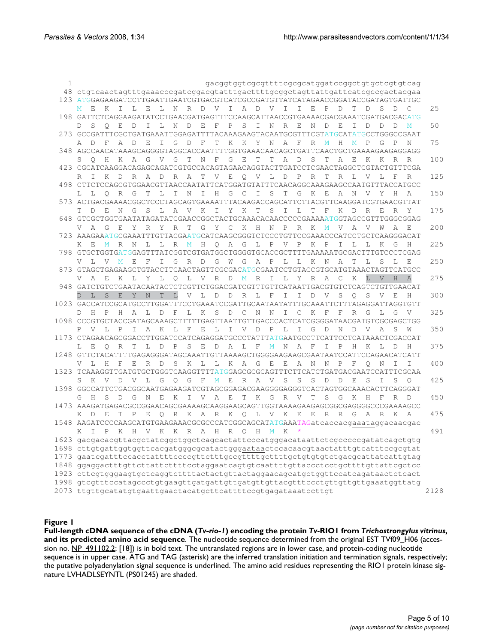| 1 | gacggtggtcgcgttttcgcgcatggatccggctgtgctcgtgtcag                                                                                                                                                               |      |
|---|---------------------------------------------------------------------------------------------------------------------------------------------------------------------------------------------------------------|------|
|   | 48 ctgtcaactagtttgaaacccgatcggacgtatttgacttttgcggctagttattgattcatcgccgactacgaa                                                                                                                                |      |
|   | 123 ATGGAGAAGATCCTTGAATTGAATCGTGACGTCATCGCCGATGTTATCATAGAACCGGATACCGATAGTGATTGC                                                                                                                               |      |
|   | L E<br>L N R D V I A D V I I E P<br>$\mathbb{D}$<br>T –<br>D<br>S D<br>C<br>M E K<br>$\mathbf{I}$                                                                                                             | 25   |
|   | 198 GATTCTCAGGAAGATATCCTGAACGATGAGTTTCCAAGCATTAACCGTGAAAACGACGAAATCGATGACGACATG                                                                                                                               |      |
|   | D<br>I L<br>N D<br>E<br>$\mathbb{F}$<br>P<br>S<br>I<br>N R<br>$-E$<br>D<br>S<br>$\circ$<br>E<br>N<br>Е<br>I<br>D<br>D<br>D<br>M<br>D.                                                                         | 50   |
|   | 273 GCCGATTTCGCTGATGAAATTGGAGATTTTACAAAGAAGTACAATGCGTTTCGTATGCATATGCCTGGGCCGAAT                                                                                                                               |      |
|   | G<br>$\mathbb{D}$<br>$\mathbf F$<br>K K<br>Y<br>A<br>A D<br>F<br>A<br>D<br>E<br>I<br>T<br>Ν<br>F<br>R<br>$\mathbf M$<br>Н<br>M<br>P<br>G<br>P                                                                 | 75   |
|   | 348 AGCCAACATAAAGCAGGGGTAGGCACCAATTTTGGTGAAACAACAGCTGATTCAACTGCTGAAAAGAAGAGGAGG                                                                                                                               |      |
|   | K A G V G<br>T –<br>N F<br>G E<br>Τ<br>A<br>$\Box$<br>S<br>A<br>S O<br>H<br>T.<br>Τ<br>E<br>K<br>K<br>R                                                                                                       | 100  |
|   | 423 CGCATCAAGGACAGAGCAGATCGTGCCACAGTAGAACAGGTACTTGATCCTCGAACTAGGCTCGTACTGTTTCGA                                                                                                                               |      |
|   | T V E O V L D<br>R A D<br>$R_{\odot}$<br>A<br>$\mathbb{P}$<br>R<br>T<br>R<br>L<br>V<br>L<br>F<br>R<br>R<br>T K D                                                                                              | 125  |
|   | 498 CTTCTCCAGCGTGGAACGTTAACCAATATTCATGGATGTATTTCAACAGGCAAAGAAGCCAATGTTTACCATGCC                                                                                                                               |      |
|   | S<br>R<br>G<br>$\mathbb{L}$<br>T<br>$\mathbb N$<br>H<br>$G$ C<br>I<br>T<br>G<br>K<br>E<br>N<br>$\mathbf{V}$<br>Η<br>L O<br>T<br>I.<br>A<br>Y                                                                  | 150  |
|   | 573 ACTGACGAAAACGGCTCCCTAGCAGTGAAAATTTACAAGACCAGCATTCTTACGTTCAAGGATCGTGAACGTTAT                                                                                                                               |      |
|   | Y K<br>S<br>E<br>G<br>S<br>L<br>A V<br>K<br>$\mathbb{I}$<br>T<br>$\mathbb{I}$<br>L<br>T<br>F<br>K<br>R<br>D<br>N<br>D<br>E<br>R<br>T.<br>Y                                                                    | 175  |
|   | 648 GTCGCTGGTGAATATAGATATCGAACCGGCTACTGCAAACACAACCCCCGAAAAATGGTAGCCGTTTGGGCGGAG<br>A<br>W<br>A                                                                                                                | 200  |
|   | Y C K H<br>$\mathbb N$<br>G<br>- E<br>Y<br>R<br>Y<br>R<br>T<br>G<br>$\mathbb{P}$<br>R K<br>$\mathbf M$<br>V<br>A<br>V<br>V<br>723 AAAGAAATGCGAAATTTGTTACGAATGCATCAAGCGGGTCTCCCTGTTCCGAAACCCATCCTGCTCAAGGGACAT |      |
|   | L R M H O A G L P V P<br>K P<br>L<br>L<br>$\mathbb{L}$<br>I.<br>K<br>G<br>H<br>$K$ $E$<br>M<br>R N                                                                                                            | 225  |
|   | 798 GTGCTGGTGATGGAGTTTATCGGTCGTGATGGCTGGGGTGCACCGCTTTTGAAAAATGCGACTTTGTCCCTCGAG                                                                                                                               |      |
|   | T, V<br>$M_{\odot}$<br>E<br>$-F$<br>I.<br>G R<br>D<br>G W<br>G A P L L<br>K<br>N<br>A<br>T.<br>S<br>V<br>Т<br>т.<br>F.                                                                                        | 250  |
|   | 873 GTAGCTGAGAAGCTGTACCTTCAACTAGTTCGCGACATGCGAATCCTGTACCGTGCATGTAAACTAGTTCATGCC                                                                                                                               |      |
|   | L V<br>A E<br>K L Y L O L V R D M R<br>I L Y R A<br>$\mathbb{C}^-$<br>K<br>H<br>V.<br>A                                                                                                                       | 275  |
|   | 948 GATCTGTCTGAATACAATACTCTCGTTCTGGACGATCGTTTGTTCATAATTGACGTGTCTCAGTCTGTTGAACAT                                                                                                                               |      |
|   | D L S<br>E Y N T L<br>V L D D R L F<br>D<br>V<br>S<br>$\circ$<br>$\mathbb{I}$<br>T<br>S<br>V<br>E                                                                                                             | 300  |
|   | 1023 GACCATCCGCATGCCTTGGATTTCCTGAAATCCGATTGCAATAATATTTGCAAATTCTTTAGAGGATTAGGTGTT                                                                                                                              |      |
|   | F L K<br>S D C N<br>$\mathsf{C}$<br>K<br>H<br>H<br>A L D<br>N I<br>F<br>F<br>R<br>G<br>L<br>G<br>V<br>D.<br>P                                                                                                 | 325  |
|   | 1098 CCCGTGCTACCGATAGCAAAGCTTTTTGAGTTAATTGTTGACCCACTCATCGGGGATAACGATGTCGCGAGCTGG                                                                                                                              |      |
|   | P V L<br>I A K<br>$\mathbb{L}$<br>E<br>E<br>LIVDPLI<br>G D<br>$\mathbb N$<br>$\mathbb{P}$<br>D<br>V A<br>S                                                                                                    | 350  |
|   | 1173 CTAGAACAGCGGACCTTGGATCCATCAGAGGATGCCCTATTTATGAATGCCTTCATTCCTCATAAACTCGACCAT                                                                                                                              |      |
|   | R T L D P<br>S<br>Е<br>D A L F M N A F<br>I P<br>K<br>L<br>T.<br>E<br>$\circ$<br>H<br>D<br>H                                                                                                                  | 375  |
|   | 1248 GTTCTACATTTTGAGAGGGATAGCAAATTGTTAAAAGCTGGGGAAGAAGCGAATAATCCATTCCAGAACATCATT                                                                                                                              |      |
|   | $T_{\rm L}$<br>H<br>Е<br>R<br>$\Box$<br>S<br>K<br>L<br>L K A G E<br>E<br>A<br>$\mathbb N$<br>N<br>P<br>F<br>F<br>0<br>N<br>т<br>Τ                                                                             | 400  |
|   | 1323 TCAAAGGTTGATGTGCTGGGTCAAGGTTTTATGGAGCGCGCAGTTTCTTCATCTGATGACGAATCCATTTCGCAA                                                                                                                              |      |
|   | S<br>K V D V L G O G F M E R A V<br>S<br>S<br>$\mathbb D$<br>D<br>Е<br>S<br>I<br>S<br>S<br>O                                                                                                                  | 425  |
|   | 1398 GGCCATTCTGACGGCAATGAGAAGATCGTAGCGGAGACGAAGGGGAGGGTCACTAGTGGCAAACACTTCAGGGAT                                                                                                                              |      |
|   | V A E<br>T K G R<br>H<br>S<br>$\Box$<br>G<br>$\mathbb N$<br>Е<br>K<br>$\mathbb{I}$<br>V <sub>v</sub><br>T<br>S<br>G<br>K<br>H<br>- F<br>G<br>R<br>D                                                           | 450  |
|   | 1473 AAAGATGAGACGCCGGAACAGCGAAAAGCAAGGAAGCAGTTGGTAAAAGAAGAGCGGCGAGGGGCCCGAAAAGCC                                                                                                                              |      |
|   | R K A R K Q L V K E<br>E R R<br>G<br>- D<br>E.<br>T<br>P<br>Е<br>$\circ$<br>A R K A<br>K                                                                                                                      | 475  |
|   | 1548 AAGATCCCCAAGCATGTGAAGAAACGCGCCCATCGGCAGCATATGAAATAGatcaccacgaaataggacaacgac                                                                                                                              | 491  |
|   | H V K K R A H R O H M K<br>K<br>T P<br>K                                                                                                                                                                      |      |
|   | 1623 gacgacacgttacgctatcggctggctcagcactattcccatgggacataattctcgcccccgatatcagctgtg<br>1698 cttgtgattggtggttcacgatgggcgcatactgggaataactccacaacgtaactatttgtcatttccgcgtat                                          |      |
|   | 1773 gaatcgatttccacctattttccccgttctttgccgttttgcttttgctgtgtgtctgacgcattatcattgtag                                                                                                                              |      |
|   | 1848 ggaggactttgttcttattcttttcctaggaatcagtgtcaattttgttaccctcctgcttttgttattcgctcc                                                                                                                              |      |
|   | 1923 cttcgtgggaagtgctcaggtcttttactactgttactaggaacagcatgctggttccatcagataactctcact                                                                                                                              |      |
|   | 1998 gtcgtttccatagccctgtgaagttgatgattgttgatgttgttacgtttccctgttgttgttgaaatggttatg                                                                                                                              |      |
|   | 2073 ttgttgcatatgtgaattgaactacatgcttcattttccgtgagataaatccttgt                                                                                                                                                 | 2128 |
|   |                                                                                                                                                                                                               |      |
|   |                                                                                                                                                                                                               |      |

#### Full-length cDNA sequence of the cDNA ( amino acid sequence **Figure 1** *Tv-rio-1*) encoding the protein *Tv*-RIO1 from *Trichostrongylus vitrinus*, and its predicted

**Full-length cDNA sequence of the cDNA (***Tv-rio-1***) encoding the protein** *Tv***-RIO1 from** *Trichostrongylus vitrinus***, and its predicted amino acid sequence**. The nucleotide sequence determined from the original EST TVf09\_H06 (accession no. NP\_491102.2; [18]) is in bold text. The untranslated regions are in lower case, and protein-coding nucleotide sequence is in upper case. ATG and TAG (asterisk) are the inferred translation initiation and termination signals, respectively; the putative polyadenylation signal sequence is underlined. The amino acid residues representing the RIO1 protein kinase signature LVHADLSEYNTL (PS01245) are shaded.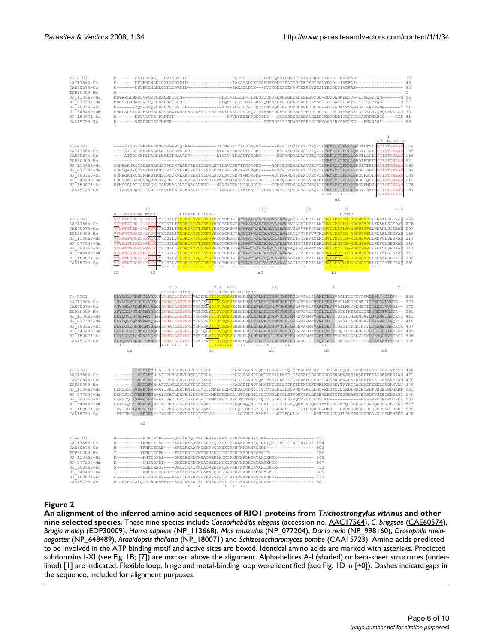| $Tv-RIO1$<br>AAC17564-Ce<br>CAE60574-Cb<br>EDP30009-Bm<br>NP 113668-Hs<br>NP 077204-Mm<br>NP_998160-Dr<br>NP 648489-Dm<br>NP 180071-At<br>CAA15723-Sp       | M------EKILELNR---DVIADVIIE----------------PDTDS-------DCDFQEDILNDEFPSINREND-EIDDD--MADFAD---------------<br>M-------EKVEHLNLNIQNILEDVDID---------------TASSSSDDEPEQAVVKQEKLEAGEQIEEQYDTDSDYDDD--IVEFAE---------------- 46<br>M-------DKVEQLNLNLQNILDDVDID---------------SAESSLDDE---EVTKQEESIENRNTEEPDYSESDYEDDEDIVDFAE---------------- 43<br>MDYRRLLMSRVVPGQFDDADSSDSENR------------DLKTVKEKDD-ILFEDLQDNVNENGEGEIEDEEEEGYDD-DDDDWDWDEGVG-KLAKGYVWN------G 56<br>MDCSLDRMASVVPGQFDDADSSDSENK-----------ELQPIHAEDGGVLLKSLQNAAAEVK-GDAETDEEDDYDD--DDDWYLDDATG-KLTKGCTWN------G 57<br>M------YQVVPGQFDDADESESVISP-----------EKPSLENRLDEVTLQSVENNKQKENEEDYDEDEEDDDDD--DDEWDWNESAGGDFTKRYTAMR-----T 51<br>MNNDSHKYSDAEEDEEDLRSSEWTNDFKNLTLKHEIFKDIKLTPKEDCDDLAQVIATANEEDEPEDEEPEEYDEDDYDD-IGDDYDTYEEAYTGFNKLHVQPQLTNASGG 70<br>M------EEVVLVTE-PPPTIP-----------------PVVEYEEEHDDDDDDD---LSLSSDSDIAEALDWLDGKDDDELIGGGFSLHARRPNAHGG----HGS 41<br>M-------VEELKNDAQTNEEE-------------------------------SEYSDFSDGSDNDYFREDDIDWNQASSNYSARQEN---FGNNSSK------- 28                                                                                                                                                                                                                                                    |                                                                                 |             |                                                                                                                                                                                                                                                                                                                                                                                                                                                                                                                                                                                                                                                                                                                                                                                                                                                                                                                                                                                                                                                                                                                                                                                                              |  |
|-------------------------------------------------------------------------------------------------------------------------------------------------------------|-------------------------------------------------------------------------------------------------------------------------------------------------------------------------------------------------------------------------------------------------------------------------------------------------------------------------------------------------------------------------------------------------------------------------------------------------------------------------------------------------------------------------------------------------------------------------------------------------------------------------------------------------------------------------------------------------------------------------------------------------------------------------------------------------------------------------------------------------------------------------------------------------------------------------------------------------------------------------------------------------------------------------------------------------------------------------------------------------------------------------------------------------------------------------------------------------------------------------------------------------------------------------------------------------------------|---------------------------------------------------------------------------------|-------------|--------------------------------------------------------------------------------------------------------------------------------------------------------------------------------------------------------------------------------------------------------------------------------------------------------------------------------------------------------------------------------------------------------------------------------------------------------------------------------------------------------------------------------------------------------------------------------------------------------------------------------------------------------------------------------------------------------------------------------------------------------------------------------------------------------------------------------------------------------------------------------------------------------------------------------------------------------------------------------------------------------------------------------------------------------------------------------------------------------------------------------------------------------------------------------------------------------------|--|
| $Tv - RTO1$<br>AAC17564-Ce<br>CAE60574-Cb<br>EDP30009-Bm<br>NP 113668-Hs<br>NP 077204-Mm<br>NP 998160-Dr<br>NP 648489-Dm<br>NP 180071-At<br>CAA15723-Sp     | ----EIGDFTKKYNAFRMHMPGPNSQHKAG---------VTTNFGETTADSTAEKK------RRRIKDRADRATVEQVLDPRTRLVLFRLLQRGTLTNIH<br>----ATGDFTKKLNAARLNTIGPNAARNR---------LTVDV-ERHADTSEDRK------RKRVKDRADRATVEQVLDPRTRLVLFRLLQRGTLLNII<br>----ATGDFTKKLNAARSNAIGPNAARNR---------LTVDV-ERHADTSEDRK------RKRVKDRADRATVEQVLDPRTRLVLFRLLQRGTLLNID<br>GSNPQANRQTSDSSSAKMSTPADKVLRKFENKINLDKLNVTDSVINKVTEKSRQKE----ADMYRIKDKADRATVEQVLDPRTRMILFKMLTRGIITEINGCISTGKEAN<br>GSNYQANRQTSNYNSAKMSTPIDKSLRKFENKINLNKLNVTDSVTNKVTVKLRQKE----AESYRIKDKADRATVEQVLDPRTRMILFKLLHKDHISEIH<br>GCNPQANRQNSNNKSIKMSTPSDKVLRKFENKINLDKLSYADSVINKVTVMQKQRE----ADTFRVKDKSDRATVEQVLDPRTRMILFKMLSRGVFSQINGCISTGKEAN<br>GSGGGAGGASGGSQRVSSYQPNEKLLRRYSARINVEKYDPTTNMSAQAANRLVNFDR---RDRTQVRDKHDRATAEQVMDPRTRMILFKLLNRGMIQEINGCISTGKEAN<br>RPNSSSLQPISNKAQKLTSHVRASPLEGWEGRVKVG---MSNSVTTAIRGSLRDTE----IGRSRNTDKADRATVEQALDPRTRMVLFRMLNRGVFNDVNGCISTGKEAN<br>--INSVNDHVSTLSR-YVNNIKLNDRFEAEGFR-------TRGLLILHTFTFSCLIVLTNKDKSSIKDKSDRATSEQVLDPRTRMILLKLINNGTISEINGCISTGKEAN                                                                                                                                                                                                                                                                                        |                                                                                 |             | T<br>ATP binding<br><b>SCISTGKEAN</b><br>146<br>CISTGKEAN<br>155<br>1.54<br>GCISTGKEAN<br>32<br>193<br><b>GOISTGKEAN</b><br>192<br>189<br>216<br>178<br>157<br>$* *$<br>********<br>$\alpha A$                                                                                                                                                                                                                                                                                                                                                                                                                                                                                                                                                                                                                                                                                                                                                                                                                                                                                                                                                                                                               |  |
|                                                                                                                                                             | ΙI                                                                                                                                                                                                                                                                                                                                                                                                                                                                                                                                                                                                                                                                                                                                                                                                                                                                                                                                                                                                                                                                                                                                                                                                                                                                                                          | III                                                                             | IV          | $\overline{\mathbf{V}}$<br>VIa                                                                                                                                                                                                                                                                                                                                                                                                                                                                                                                                                                                                                                                                                                                                                                                                                                                                                                                                                                                                                                                                                                                                                                               |  |
|                                                                                                                                                             | ATP binding motif<br>Flexible loop                                                                                                                                                                                                                                                                                                                                                                                                                                                                                                                                                                                                                                                                                                                                                                                                                                                                                                                                                                                                                                                                                                                                                                                                                                                                          |                                                                                 |             | Hinge                                                                                                                                                                                                                                                                                                                                                                                                                                                                                                                                                                                                                                                                                                                                                                                                                                                                                                                                                                                                                                                                                                                                                                                                        |  |
| $Tv-RIO1$<br>AAC17564-Ce<br>$CAF60574-Ch$<br>EDP30009-Bm<br>NP 113668-Hs<br>NP 077204-Mm<br>NP_998160-Dr<br>$NP_648489-Dm$<br>$NP_180071-At$<br>CAA15723-Sp | VYHATDENG-S-LAVK <mark>IYKTSILT<mark>FKDRERYVAGEYRY</mark>RTGYCKHNP<i>RKMVAVWAEKEMRNLLRMH</i>QAGLPVPKPILLKG<mark>HVLVMEFIG-RDGWGAP</mark>LLKNATLSLEVA<b>E</b> 269</mark><br>VYHATGTDN-D-LAIP<br>VYHATGTEN-D-LAVK<br>VYHAVTRDGKS-LAVP<br>VYHASTANGES-RAIK<br>VYYASTPSGES-RAIKKYKTSILM <mark>FKDRDKYVTGEFRF</mark> RRGYCKGNP <i>RKMVRTWAEKEMRNLCRLK</i> TANIPCPEPIRLRS <mark>HVLLMGFIG-KDDMPAP</mark> LLKNVQLSESKAR 316<br>VYHATTAKGES-RAIK<br>VYHAVSKNGEEEFAI<br>VYHATKSDGSE-LAIK<br>VYHATNEDGKH-FAIK<br>$\beta$ 2<br>$\beta$ 3                                                                                                                                                                                                                                                                                                                                                                                                                                                                                                                                                                                                                                                                                                                                                                              | **** * <mark>* ** ** * *</mark> * ** ** <del>*** ***** ** *</del><br>$\alpha$ C |             | IYKTSILT <mark>FKDRERYVTGEFRY</mark> RHGYCKSNP <i>RKMVAVWAEKEMRNLARMH</i> EVGLPVPKPHLLKG <mark>HVLVMDFLG-KDGWPAP</mark> LLKNANLSQEDAE<br>278<br>IYKTSILT <mark>FKDRERYVTGEFRY</mark> RHGYCKSNP <i>RKMVAVWAEKEMRNLARMH</i> EVGLPVPKPHMLKG <mark>HVLVMDFLG-KDGWPAP</mark> LLKNANLSTEEAE<br>267<br>VYKTSILI <mark>FRDRDRYVNGEFRY</mark> RHGYCKHNP <i>RKMITVWAEKEMRNLSRMY</i> SAGLPVPKPVVVKQ <mark>NVLVMDFIG-ADGWPAT</mark> LLKDAELSHKFAD<br>156<br>IYKTSILV <mark>FKDRDKYVSGEFRF</mark> RHGYCKGNP <i>RKMVKTWAEKEMRNLIRLN</i> TAEIPCPEPIMLRS <mark>HVLVMSFIG-KDDMPAP</mark> LLKNVQLSESKAR 317<br>IYKTSILL <mark>FKDRDKYVSGEFRF</mark> RHGYCKGNP <i>RKMVRTWAEKEMRNLIRLQ</i> TAQIPSPEPIMLRS <mark>HVLVMSFIG-RDDTPAP</mark> LLKNAVLSESKAR 313<br>IYKTSILV <mark>FKDRDKYVSGEFRF</mark> RHGYCKHNP <i>RKMVRTWAEKEMRNYLRMR</i> NAGVPVPEPILLRS <mark>HVLVMRFCG-RDGWPAP</mark> KLKDVELSTSKAR<br>341<br>VYKTSVLV <mark>FKDRDRYVQGDYRF</mark> RYGYCRHNP <i>RKMVKTWAEKEQRNLKRLH</i> AAGIRCPAVILLRL <mark>HVLVMEFIG-RDGWAAP</mark> RLKDAALSLDKL <mark>R</mark> 302<br>(FYKTSILV <mark>FKDRDRYVSGEFRF</mark> RHGYNKRNP <i>RKMVRLWAEKEIRNLKRVA</i> AAGIPCPEPILLKQ <mark>HVLLMSFLGDKKGWAYP</mark> KLKDIDMTPGEAT 281<br>$\beta$ 5 |  |
|                                                                                                                                                             |                                                                                                                                                                                                                                                                                                                                                                                                                                                                                                                                                                                                                                                                                                                                                                                                                                                                                                                                                                                                                                                                                                                                                                                                                                                                                                             |                                                                                 |             |                                                                                                                                                                                                                                                                                                                                                                                                                                                                                                                                                                                                                                                                                                                                                                                                                                                                                                                                                                                                                                                                                                                                                                                                              |  |
| $Tv-RIO1$<br>AAC17564-Ce<br>CAE60574-Cb<br>EDP30009-Bm<br>NP 113668-Hs<br>NP 077204-Mm<br>NP 998160-Dr<br>$NP_648489 - Dm$<br>NP 180071-At<br>CAA15723-Sp   | VIb<br>active site<br>KLYLQLVRDMRILYRACMLVHADLSEYNTI <mark>V</mark> LDDRL <mark>FIIDVSQSV</mark> EHDHPHALDFLKSDCNNICKFFRGLGVPVLPIAKLFELIVDPLIGDNDVASWLEQR--TLDPS-- 364<br>PMYVGLVRDMRRLYRECK <mark>LVHADLSEFNML</mark> VHDGKL <mark>WIIDVSQSV</mark> EQDHPHALEFLRMDCNNVNKFFRELGVPVLSVRRLFEVIVDPLMSSKEMETIIEEERVLVNSE-- 373<br>PMYVGLVRDMRRLYRECKLVHADLSEFNMLVHDGKL <mark>WIIDVSQSV</mark> EQDHPHALEFLRMDCNNVNKFFRELGVKVLSVRRLFEVIVDPLMNVKEMETIIDEERVVVNSE-- 372<br>AFYIELVGYMRKMYRDCR <mark>LVHADLSEYNIM</mark> VKEGKL <mark>YIIDVSQSV</mark> EHDHPRSLEFLRSDCSNITKFFRSKGVSVLSTRDLFLLVADPSIKTESELQESMNKRTFEIEA-- 251<br>ELYLOVIOYMRRMYODAR<br>LVHADLSEFNMI<br>ELYLQVIQYMRKMYQDAR <mark>LVHADLSEFNMI</mark> YHGGDV <mark>YIIDVSQSV</mark> EHDHPHALEFLRKDCTNVNDFFSKHAVAVMTVRELFDFVTDPSITADNMDAYLEKAMEIASQRTK 410<br>ELYLQIIQNMRIMYSEAR <mark>LVHADLSEYNML</mark> YHNGEA <mark>YIIDVSQSV</mark> EHDHPHALEFLRKDCSNVNDFFQRHNVAVMTVRELFEFVTDPSITTDNINQYLDKAMEIASERTA 407<br>ELYRDCVVIMWRIYNQCH <mark>LVHADLSEFNII</mark> LQDGQL <mark>VIIDVSQSV</mark> EHDHPHSFDFLRKDCTNISEFFRKRAVATMTVKELFDFITDQTITTENMEECLERISERIKDRDF 435<br>ECYLELIIOMRVLYOKCMLVHGDLSEYNIL<br>KLYQLVARNMRILFHVCH <mark>LVHADLSEYNLL</mark> YHKGKV <mark>YFIDVSQSV</mark> EHDHPQSIDFLRMDILNISTFFRRLNAGCLSLPQLFKFITEEGSCEK---EAMKTRLNAIYEEE- 376 | VII VIII<br>Metal-binding loop<br>$******$<br>$*$<br>$\star$                    | IX<br>$* *$ | X<br>XI<br>YHGGGV <mark>YIIDVSQSV</mark> EHDHPHALEFLRKDCANVNDFFMRHSVAVMTVRELFEFVTDPSITHENMDAYLSKAMEIASQRTK 411<br>YFEGHL <mark>YIIDVSQSV</mark> DLDHPLALNFLREDCDHVSDFFKKHGVAVMTIRELFDFIVDPAITDENVDSYLEEVQRKVIERGE 396                                                                                                                                                                                                                                                                                                                                                                                                                                                                                                                                                                                                                                                                                                                                                                                                                                                                                                                                                                                        |  |
|                                                                                                                                                             | $\alpha E$                                                                                                                                                                                                                                                                                                                                                                                                                                                                                                                                                                                                                                                                                                                                                                                                                                                                                                                                                                                                                                                                                                                                                                                                                                                                                                  | $\beta$ 8<br>$\alpha F$                                                         | $\alpha G$  | $\alpha$ H                                                                                                                                                                                                                                                                                                                                                                                                                                                                                                                                                                                                                                                                                                                                                                                                                                                                                                                                                                                                                                                                                                                                                                                                   |  |
| $Tv-RIO1$<br>AAC17564-Ce<br>CAE60574-Cb<br>EDP30009-Bm<br>NP 113668-Hs<br>$NP_077204 - Mn$<br>NP 998160-Dr<br>NP 648489-Dm<br>NP 180071-At<br>CAA15723-Sp   | --------FEDALFMN-AFIPHKLDHVLHFERDSKLL-------KAGEEANNPFQNIISKVDVLGQ-GFMERAVSSF---DDESISQGHFDGNEKIVAETKGR-VTSGK 460<br>--------DDTLFMN-AFIAQKLEQVLYFERDQQIE--------KAGGEIPNPFQMMISQVKSSGDKSINEKNEFKNELKDQRESTRYHDSAGSSSSEEKEQKDRKVAV 349<br>EERSSODHVDEEVFKR-AYIPRTLNEVKNYERDMDIIMKLKEEDMAMNAQQDNILYQTVTGLKKDLSGVQKVPALLENQVEERTCSDSEDIGSSECSDTDSEEQGDHARP 521<br>EEKTSQDHVDEEVFKQ-AYIPRTLNEVKNYERDVDIMMRLKEEDMALNTQQDNILYQTVMGLKKDLSGVQKVPALLESEVKEETCFGSDDAGGSECSDTVSEEQEDQAGC 540<br>EERSDQDKVDEEVFKK-AYIPRTLNEVTHYERDVDTMMKKKEDTSSEDTNTDNILYQTVTGLRKDLSGVQTVPSILEDSTKD---------ESSGSEEEEDEDDEEK 537<br>DAISAQEKIDEAVWQN-TYIPKRLDEVRHFERDVAK--------AKQGVQQNLIYGKITGLTSDLDVQQKPDVLQSSTAKEDDGSEAQTSGSEDEDNSQDNDNDEDAKK 545<br>ISV-EDEIADSVFMKS--YIPKSLDAVNNPEADVAKI------TSGQDTGDMLY-QTITGLKDAL----PKIEEQKIEVNDE---EKEEEGEEEEDGESEEGSE-EEES 525<br>-PTTEEY---EEEFLK-TYVPRTLDEVYDIDRDTEIVN--------AGGVNSLVYKHL--LNTDFQKLD-----LNDTTKNQNDQILPNETSESDDDANSISSMENEEE 478<br>$\alpha$ I                                                                                                                                                                                                                                                                                                                          |                                                                                 |             | --DDSLFMN-AFIPHKLEHVLHFERDGKLA--------KEGVEANNPFQNIVSKIDLKGD-GFGEEHDDSDDNDDEENGKKSRKKRAEPTEEEIQEKERKIAM 471<br>--DDALFMN-AFIPHKLEHVLHFERDGKLA-------KDGVEANNPFQNIVSKIDLKGE-GFGDEECCSD--DDEENGKKSRKKRAEPTAEEIEEKERKIAM 470                                                                                                                                                                                                                                                                                                                                                                                                                                                                                                                                                                                                                                                                                                                                                                                                                                                                                                                                                                                    |  |
|                                                                                                                                                             |                                                                                                                                                                                                                                                                                                                                                                                                                                                                                                                                                                                                                                                                                                                                                                                                                                                                                                                                                                                                                                                                                                                                                                                                                                                                                                             |                                                                                 |             |                                                                                                                                                                                                                                                                                                                                                                                                                                                                                                                                                                                                                                                                                                                                                                                                                                                                                                                                                                                                                                                                                                                                                                                                              |  |
| $Tv-RIO1$<br>AAC17564-Ce<br>CAE60574-Cb<br>EDP30009-Bm<br>NP 113668-Hs<br>NP 077204-Mm                                                                      | H--------FRDKDETPE----QRKARKQLVKEERREARKAKIPKHVKKRAHRQHMK---------------- 491<br>H--------TRNREETAE----ERKERKAAVKEEKREQRKEKIPKHLKKRAHRQHMKYQSSPWSTLINCLHTLVP 524<br>H---------TRNRDETAE----ERKLRKAAVKEEKRDQRKEKIPKHVKKRAHRQHMK----------------- 503<br>Y---------TRNRDESPN----TKKERKRLVKEEKRANRLTKIPKHIKKRHNKANKCR---------------- 386                                                                                                                                                                                                                                                                                                                                                                                                                                                                                                                                                                                                                                                                                                                                                                                                                                                                                                                                                                      |                                                                                 |             |                                                                                                                                                                                                                                                                                                                                                                                                                                                                                                                                                                                                                                                                                                                                                                                                                                                                                                                                                                                                                                                                                                                                                                                                              |  |

#### cies **Figure 2** An alignment of the inferred amino acid sequences of RIO1 proteins from *Trichostrongylus vitrinus* and other nine selected spe-

**An alignment of the inferred amino acid sequences of RIO1 proteins from** *Trichostrongylus vitrinus* **and other nine selected species**. These nine species include *Caenorhabditis elegans* (accession no. AAC17564), *C. briggsae* (CAE60574), *Brugia malayi* (EDP30009), *Homo sapiens* (NP\_113668), *Mus musculus* (NP\_077204), *Danio rerio* (NP\_998160), *Drosophila melanogaster* (NP\_648489), *Arabidopsis thaliana* (NP\_180071) and *Schizosaccharomyces pombe* (CAA15723). Amino acids predicted to be involved in the ATP binding motif and active sites are boxed. Identical amino acids are marked with asterisks. Predicted subdomains I-XI (see Fig. 1B; [7]) are marked above the alignment. Alpha-helices A-I (shaded) or beta-sheet structures (underlined) [1] are indicated. Flexible loop, hinge and metal-binding loop were identified (see Fig. 1D in [40]). Dashes indicate gaps in the sequence, included for alignment purposes.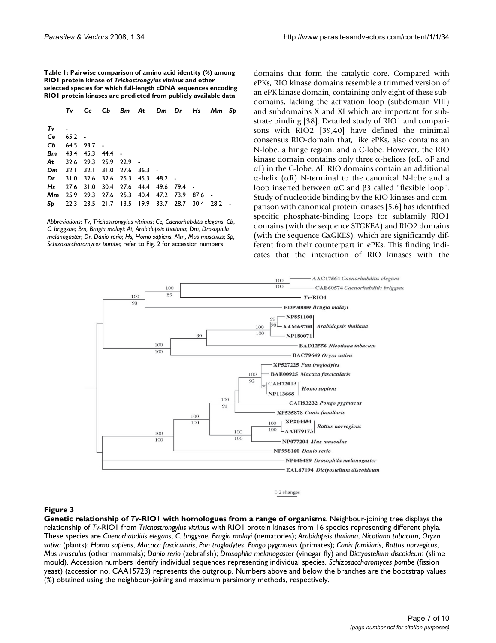**Table 1: Pairwise comparison of amino acid identity (%) among RIO1 protein kinase of** *Trichostrongylus vitrinus* **and other selected species for which full-length cDNA sequences encoding RIO1 protein kinases are predicted from publicly available data**

|    | Τv            |                               |  |                                                   |      | Ce Cb Bm At Dm Dr Hs Mm Sp |  |
|----|---------------|-------------------------------|--|---------------------------------------------------|------|----------------------------|--|
| Τv |               |                               |  |                                                   |      |                            |  |
|    | $Ce$ $65.2$ - |                               |  |                                                   |      |                            |  |
|    |               | $Cb$ 64.5 93.7 -              |  |                                                   |      |                            |  |
|    |               | <b>Bm</b> 43.4 45.3 44.4 -    |  |                                                   |      |                            |  |
| At |               | 32.6 29.3 25.9 22.9 -         |  |                                                   |      |                            |  |
| Dm |               | 32.1 32.1 31.0 27.6 36.3 -    |  |                                                   |      |                            |  |
| Dr |               | 31.0 32.6 32.6 25.3 45.3 48.2 |  |                                                   |      |                            |  |
|    |               |                               |  | H <sub>s</sub> 27.6 31.0 30.4 27.6 44.4 49.6 79.4 |      |                            |  |
|    |               |                               |  | <b>Mm</b> 25.9 29.3 27.6 25.3 40.4 47.2 73.9 87.6 |      |                            |  |
|    |               |                               |  | $Sp$ 22.3 23.5 21.7 13.5 19.9 33.7 28.7           | 30.4 | 28.2                       |  |
|    |               |                               |  |                                                   |      |                            |  |

*Abbreviations*: *Tv*, *Trichostrongylus vitrinus*; *Ce, Caenorhabditis elegans*; *Cb*, *C. briggsae*; *Bm, Brugia malayi*; *At, Arabidopsis thaliana*; *Dm, Drosophila melanogaster*; *Dr, Danio rerio*; *Hs, Homo sapiens*; *Mm, Mus musculus*; *Sp, Schizosaccharomyces pombe*; refer to Fig. 2 for accession numbers

domains that form the catalytic core. Compared with ePKs, RIO kinase domains resemble a trimmed version of an ePK kinase domain, containing only eight of these subdomains, lacking the activation loop (subdomain VIII) and subdomains X and XI which are important for substrate binding [38]. Detailed study of RIO1 and comparisons with RIO2 [39,40] have defined the minimal consensus RIO-domain that, like ePKs, also contains an N-lobe, a hinge region, and a C-lobe. However, the RIO kinase domain contains only three  $\alpha$ -helices ( $\alpha$ E,  $\alpha$ F and  $\alpha$ I) in the C-lobe. All RIO domains contain an additional  $\alpha$ -helix ( $\alpha$ R) N-terminal to the canonical N-lobe and a loop inserted between  $\alpha$ C and  $\beta$ 3 called "flexible loop". Study of nucleotide binding by the RIO kinases and comparison with canonical protein kinases [5,6] has identified specific phosphate-binding loops for subfamily RIO1 domains (with the sequence STGKEA) and RIO2 domains (with the sequence GxGKES), which are significantly different from their counterpart in ePKs. This finding indicates that the interaction of RIO kinases with the



0.2 changes

# Figure 3

**Genetic relationship of** *Tv***-RIO1 with homologues from a range of organisms**. Neighbour-joining tree displays the relationship of *Tv*-RIO1 from *Trichostrongylus vitrinus* with RIO1 protein kinases from 16 species representing different phyla. These species are *Caenorhabditis elegans*, *C. briggsae*, *Brugia malayi* (nematodes); *Arabidopsis thaliana*, *Nicotiana tabacum*, *Oryza sativa* (plants); *Homo sapiens*, *Macaca fascicularis*, *Pan troglodytes*, *Pongo pygmaeus* (primates); *Canis familiaris*, *Rattus norvegicus*, *Mus musculus* (other mammals); *Danio rerio* (zebrafish); *Drosophila melanogaster* (vinegar fly) and *Dictyostelium discoideum* (slime mould). Accession numbers identify individual sequences representing individual species. *Schizosaccharomyces pombe* (fission yeast) (accession no. CAA15723) represents the outgroup. Numbers above and below the branches are the bootstrap values (%) obtained using the neighbour-joining and maximum parsimony methods, respectively.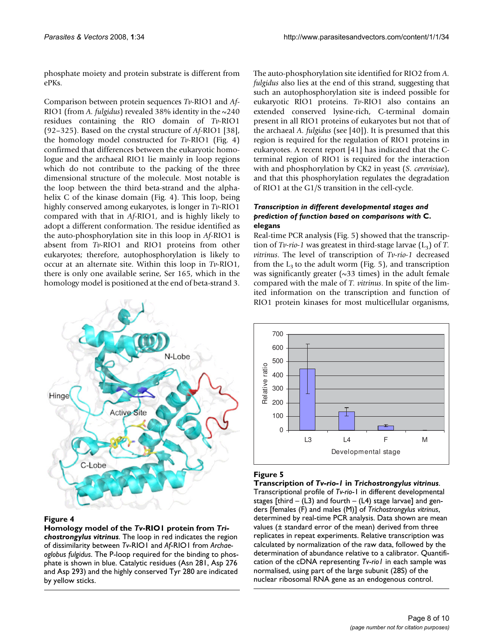phosphate moiety and protein substrate is different from ePKs.

Comparison between protein sequences *Tv*-RIO1 and *Af*-RIO1 (from *A. fulgidus*) revealed 38% identity in the ~240 residues containing the RIO domain of *Tv*-RIO1 (92–325). Based on the crystal structure of *Af*-RIO1 [38], the homology model constructed for *Tv*-RIO1 (Fig. 4) confirmed that differences between the eukaryotic homologue and the archaeal RIO1 lie mainly in loop regions which do not contribute to the packing of the three dimensional structure of the molecule. Most notable is the loop between the third beta-strand and the alphahelix C of the kinase domain (Fig. 4). This loop, being highly conserved among eukaryotes, is longer in *Tv*-RIO1 compared with that in *Af*-RIO1, and is highly likely to adopt a different conformation. The residue identified as the auto-phosphorylation site in this loop in *Af*-RIO1 is absent from *Tv*-RIO1 and RIO1 proteins from other eukaryotes; therefore, autophosphorylation is likely to occur at an alternate site. Within this loop in *Tv*-RIO1, there is only one available serine, Ser 165, which in the homology model is positioned at the end of beta-strand 3.



# **Figure 4**

**Homology model of the** *Tv***-RIO1 protein from** *Trichostrongylus vitrinus*. The loop in red indicates the region of dissimilarity between *Tv*-RIO1 and *Af*-RIO1 from *Archaeoglobus fulgidus*. The P-loop required for the binding to phosphate is shown in blue. Catalytic residues (Asn 281, Asp 276 and Asp 293) and the highly conserved Tyr 280 are indicated by yellow sticks.

The auto-phosphorylation site identified for RIO2 from *A. fulgidus* also lies at the end of this strand, suggesting that such an autophosphorylation site is indeed possible for eukaryotic RIO1 proteins. *Tv*-RIO1 also contains an extended conserved lysine-rich, C-terminal domain present in all RIO1 proteins of eukaryotes but not that of the archaeal *A. fulgidus* (see [40]). It is presumed that this region is required for the regulation of RIO1 proteins in eukaryotes. A recent report [41] has indicated that the Cterminal region of RIO1 is required for the interaction with and phosphorylation by CK2 in yeast (*S. cerevisiae*), and that this phosphorylation regulates the degradation of RIO1 at the G1/S transition in the cell-cycle.

## *Transcription in different developmental stages and prediction of function based on comparisons with* **C. elegans**

Real-time PCR analysis (Fig. 5) showed that the transcription of *Tv-rio-1* was greatest in third-stage larvae  $(L_3)$  of *T*. *vitrinus*. The level of transcription of *Tv*-*rio-1* decreased from the  $L_3$  to the adult worm (Fig. 5), and transcription was significantly greater  $(\sim 33 \text{ times})$  in the adult female compared with the male of *T. vitrinus*. In spite of the limited information on the transcription and function of RIO1 protein kinases for most multicellular organisms,



# **Figure 5**

**Transcription of** *Tv-rio-1* **in** *Trichostrongylus vitrinus*. Transcriptional profile of *Tv-rio*-1 in different developmental stages [third –  $(L3)$  and fourth –  $(L4)$  stage larvae] and genders [females (F) and males (M)] of *Trichostrongylus vitrinus*, determined by real-time PCR analysis. Data shown are mean values (± standard error of the mean) derived from three replicates in repeat experiments. Relative transcription was calculated by normalization of the raw data, followed by the determination of abundance relative to a calibrator. Quantification of the cDNA representing *Tv*-*rio1* in each sample was normalised, using part of the large subunit (28S) of the nuclear ribosomal RNA gene as an endogenous control.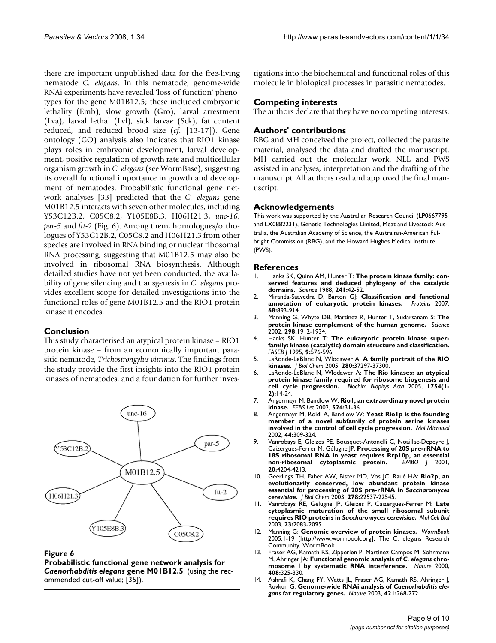there are important unpublished data for the free-living nematode *C. elegans*. In this nematode, genome-wide RNAi experiments have revealed 'loss-of-function' phenotypes for the gene M01B12.5; these included embryonic lethality (Emb), slow growth (Gro), larval arrestment (Lva), larval lethal (Lvl), sick larvae (Sck), fat content reduced, and reduced brood size (*cf.* [13-17]). Gene ontology (GO) analysis also indicates that RIO1 kinase plays roles in embryonic development, larval development, positive regulation of growth rate and multicellular organism growth in *C. elegans* (see WormBase), suggesting its overall functional importance in growth and development of nematodes. Probabilistic functional gene network analyses [33] predicted that the *C. elegans* gene M01B12.5 interacts with seven other molecules, including Y53C12B.2, C05C8.2, Y105E8B.3, H06H21.3, *unc-16*, *par-5* and *ftt-2* (Fig. 6). Among them, homologues/orthologues of Y53C12B.2, C05C8.2 and H06H21.3 from other species are involved in RNA binding or nuclear ribosomal RNA processing, suggesting that M01B12.5 may also be involved in ribosomal RNA biosynthesis. Although detailed studies have not yet been conducted, the availability of gene silencing and transgenesis in *C. elegans* provides excellent scope for detailed investigations into the functional roles of gene M01B12.5 and the RIO1 protein kinase it encodes.

# **Conclusion**

This study characterised an atypical protein kinase – RIO1 protein kinase – from an economically important parasitic nematode, *Trichostrongylus vitrinus*. The findings from the study provide the first insights into the RIO1 protein kinases of nematodes, and a foundation for further inves-



#### **Figure 6**

**Probabilistic functional gene network analysis for**  *Caenorhabditis elegans* **gene M01B12.5**. (using the recommended cut-off value; [35]).

tigations into the biochemical and functional roles of this molecule in biological processes in parasitic nematodes.

## **Competing interests**

The authors declare that they have no competing interests.

# **Authors' contributions**

RBG and MH conceived the project, collected the parasite material, analysed the data and drafted the manuscript. MH carried out the molecular work. NLL and PWS assisted in analyses, interpretation and the drafting of the manuscript. All authors read and approved the final manuscript.

### **Acknowledgements**

This work was supported by the Australian Research Council (LP0667795 and LX0882231), Genetic Technologies Limited, Meat and Livestock Australia, the Australian Academy of Science, the Australian-American Fulbright Commission (RBG), and the Howard Hughes Medical Institute (PWS).

#### **References**

- Hanks SK, Quinn AM, Hunter T: The protein kinase family: con**served features and deduced phylogeny of the catalytic domains.** *Science* 1988, **241:**42-52.
- 2. Miranda-Saavedra D, Barton GJ: **Classification and functional**<br>annotation of eukaryotic protein kinases. *Proteins* 2007, annotation of eukaryotic protein kinases. **68:**893-914.
- 3. Manning G, Whyte DB, Martinez R, Hunter T, Sudarsanam S: **The protein kinase complement of the human genome.** *Science* 2002, **298:**1912-1934.
- 4. Hanks SK, Hunter T: **The eukaryotic protein kinase superfamily: kinase (catalytic) domain structure and classification.** *FASEB J* 1995, **9:**576-596.
- 5. LaRonde-LeBlanc N, Wlodawer A: **A family portrait of the RIO kinases.** *J Biol Chem* 2005, **280:**37297-37300.
- 6. LaRonde-LeBlanc N, Wlodawer A: **The Rio kinases: an atypical protein kinase family required for ribosome biogenesis and cell cycle progression.** *Biochim Biophys Acta* 2005, **1754(1- 2):**14-24.
- 7. Angermayr M, Bandlow W: **Rio1, an extraordinary novel protein kinase.** *FEBS Let* 2002, **524:**31-36.
- 8. Angermayr M, Roidl A, Bandlow W: **Yeast Rio1p is the founding member of a novel subfamily of protein serine kinases involved in the control of cell cycle progression.** *Mol Microbiol* 2002, **44:**309-324.
- 9. Vanrobays E, Gleizes PE, Bousquet-Antonelli C, Noaillac-Depeyre J, Caizergues-Ferrer M, Gélugne JP: **Processing of 20S pre-rRNA to 18S ribosomal RNA in yeast requires Rrp10p, an essential**  $c$ ytoplasmic protein. **20:**4204-4213.
- 10. Geerlings TH, Faber AW, Bister MD, Vos JC, Raué HA: **Rio2p, an evolutionarily conserved, low abundant protein kinase essential for processing of 20S pre-rRNA in** *Saccharomyces cerevisiae***.** *J Biol Chem* 2003, **278:**22537-22545.
- 11. Vanrobays RE, Gelugne JP, Gleizes P, Caizergues-Ferrer M: **Late cytoplasmic maturation of the small ribosomal subunit requires RIO proteins in** *Saccharomyces cerevisiae***.** *Mol Cell Biol* 2003, **23:**2083-2095.
- 12. Manning G: **Genomic overview of protein kinases.** *WormBook* 2005:1-19 [http://www.wormbook.org]. The C. elegans Research Community, WormBook
- 13. Fraser AG, Kamath RS, Zipperlen P, Martinez-Campos M, Sohrmann M, Ahringer JA: **Functional genomic analysis of** *C. elegans* **chromosome I by systematic RNA interference.** *Nature* 2000, **408:**325-330.
- 14. Ashrafi K, Chang FY, Watts JL, Fraser AG, Kamath RS, Ahringer J, Ruvkun G: **Genome-wide RNAi analysis of** *Caenorhabditis elegans* **fat regulatory genes.** *Nature* 2003, **421:**268-272.